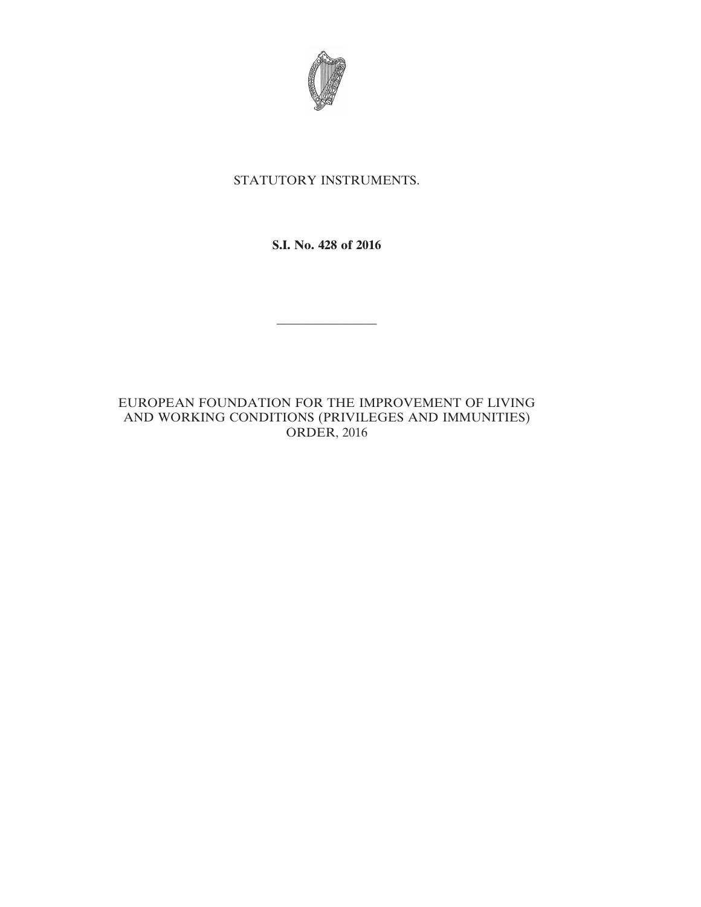

# STATUTORY INSTRUMENTS.

**S.I. No. 428 of 2016**

————————

EUROPEAN FOUNDATION FOR THE IMPROVEMENT OF LIVING AND WORKING CONDITIONS (PRIVILEGES AND IMMUNITIES) ORDER, 2016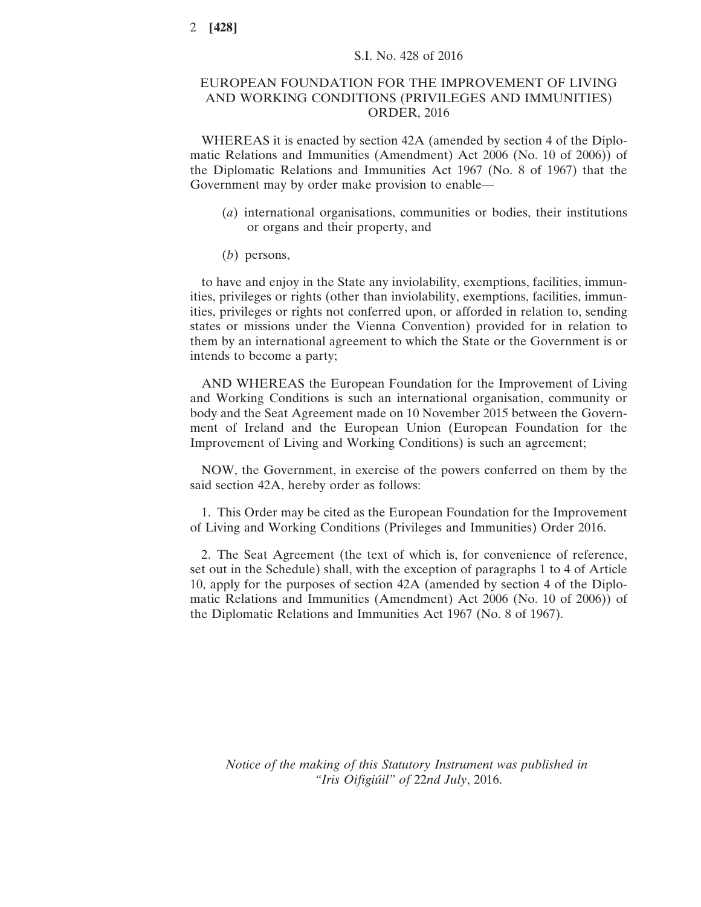# EUROPEAN FOUNDATION FOR THE IMPROVEMENT OF LIVING AND WORKING CONDITIONS (PRIVILEGES AND IMMUNITIES) ORDER, 2016

WHEREAS it is enacted by section 42A (amended by section 4 of the Diplomatic Relations and Immunities (Amendment) Act 2006 (No. 10 of 2006)) of the Diplomatic Relations and Immunities Act 1967 (No. 8 of 1967) that the Government may by order make provision to enable—

- (*a*) international organisations, communities or bodies, their institutions or organs and their property, and
- (*b*) persons,

to have and enjoy in the State any inviolability, exemptions, facilities, immunities, privileges or rights (other than inviolability, exemptions, facilities, immunities, privileges or rights not conferred upon, or afforded in relation to, sending states or missions under the Vienna Convention) provided for in relation to them by an international agreement to which the State or the Government is or intends to become a party;

AND WHEREAS the European Foundation for the Improvement of Living and Working Conditions is such an international organisation, community or body and the Seat Agreement made on 10 November 2015 between the Government of Ireland and the European Union (European Foundation for the Improvement of Living and Working Conditions) is such an agreement;

NOW, the Government, in exercise of the powers conferred on them by the said section 42A, hereby order as follows:

1. This Order may be cited as the European Foundation for the Improvement of Living and Working Conditions (Privileges and Immunities) Order 2016.

2. The Seat Agreement (the text of which is, for convenience of reference, set out in the Schedule) shall, with the exception of paragraphs 1 to 4 of Article 10, apply for the purposes of section 42A (amended by section 4 of the Diplomatic Relations and Immunities (Amendment) Act 2006 (No. 10 of 2006)) of the Diplomatic Relations and Immunities Act 1967 (No. 8 of 1967).

*Notice of the making of this Statutory Instrument was published in "Iris Oifigiúil" of* 22*nd July*, 2016.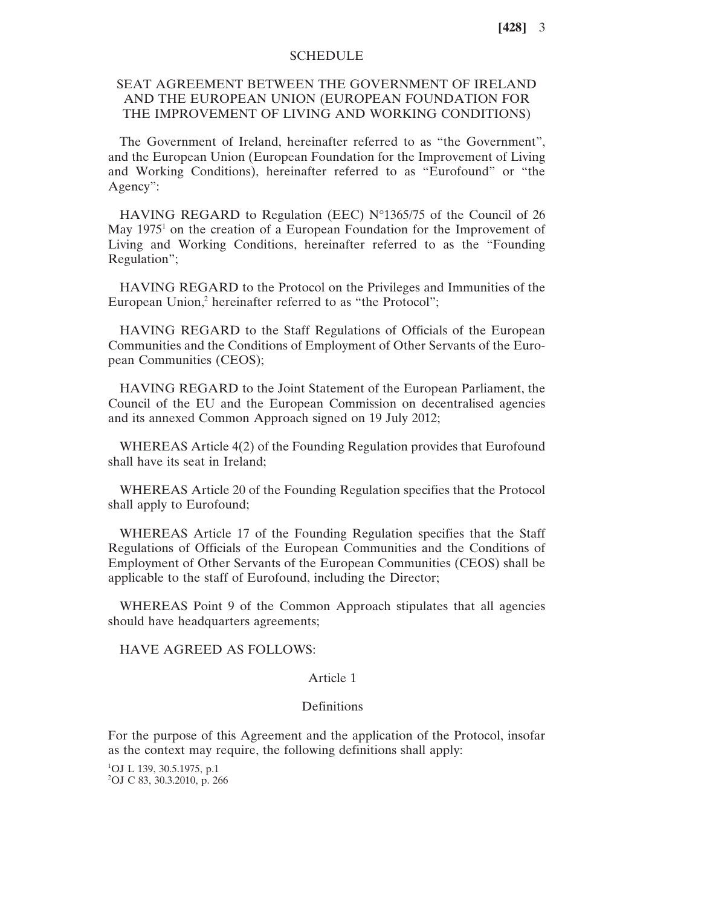### **SCHEDULE**

# SEAT AGREEMENT BETWEEN THE GOVERNMENT OF IRELAND AND THE EUROPEAN UNION (EUROPEAN FOUNDATION FOR THE IMPROVEMENT OF LIVING AND WORKING CONDITIONS)

The Government of Ireland, hereinafter referred to as "the Government", and the European Union (European Foundation for the Improvement of Living and Working Conditions), hereinafter referred to as "Eurofound" or "the Agency":

HAVING REGARD to Regulation (EEC) N°1365/75 of the Council of 26 May 1975<sup>1</sup> on the creation of a European Foundation for the Improvement of Living and Working Conditions, hereinafter referred to as the "Founding Regulation";

HAVING REGARD to the Protocol on the Privileges and Immunities of the European Union,<sup>2</sup> hereinafter referred to as "the Protocol";

HAVING REGARD to the Staff Regulations of Officials of the European Communities and the Conditions of Employment of Other Servants of the European Communities (CEOS);

HAVING REGARD to the Joint Statement of the European Parliament, the Council of the EU and the European Commission on decentralised agencies and its annexed Common Approach signed on 19 July 2012;

WHEREAS Article 4(2) of the Founding Regulation provides that Eurofound shall have its seat in Ireland;

WHEREAS Article 20 of the Founding Regulation specifies that the Protocol shall apply to Eurofound;

WHEREAS Article 17 of the Founding Regulation specifies that the Staff Regulations of Officials of the European Communities and the Conditions of Employment of Other Servants of the European Communities (CEOS) shall be applicable to the staff of Eurofound, including the Director;

WHEREAS Point 9 of the Common Approach stipulates that all agencies should have headquarters agreements;

#### HAVE AGREED AS FOLLOWS:

#### Article 1

#### Definitions

For the purpose of this Agreement and the application of the Protocol, insofar as the context may require, the following definitions shall apply:

1 OJ L 139, 30.5.1975, p.1 2 OJ C 83, 30.3.2010, p. 266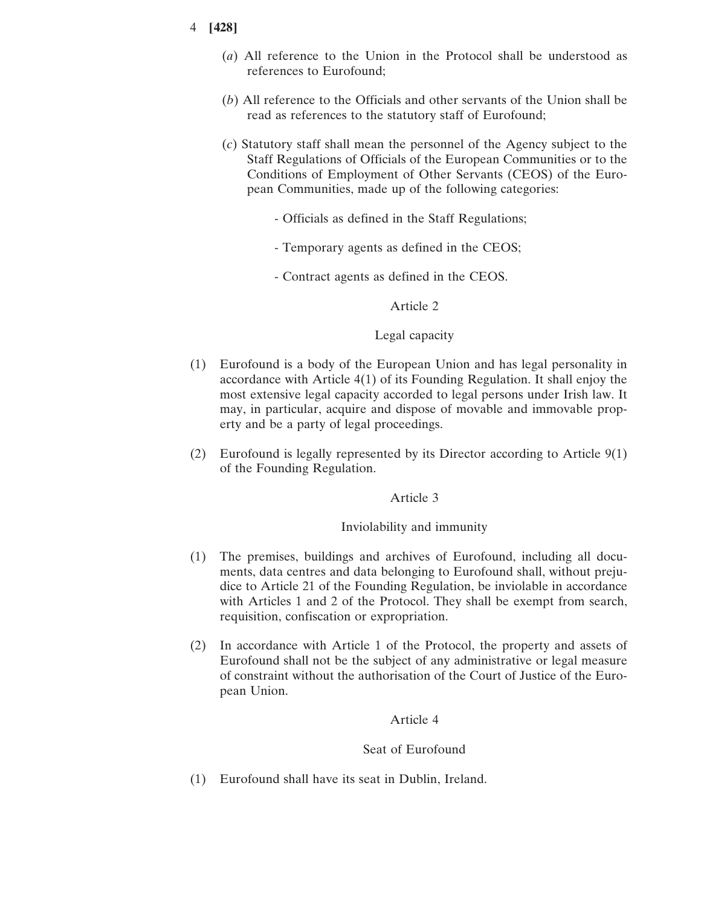- (*a*) All reference to the Union in the Protocol shall be understood as references to Eurofound;
- (*b*) All reference to the Officials and other servants of the Union shall be read as references to the statutory staff of Eurofound;
- (*c*) Statutory staff shall mean the personnel of the Agency subject to the Staff Regulations of Officials of the European Communities or to the Conditions of Employment of Other Servants (CEOS) of the European Communities, made up of the following categories:
	- Officials as defined in the Staff Regulations;
	- Temporary agents as defined in the CEOS;
	- Contract agents as defined in the CEOS.

### Article 2

#### Legal capacity

- (1) Eurofound is a body of the European Union and has legal personality in accordance with Article 4(1) of its Founding Regulation. It shall enjoy the most extensive legal capacity accorded to legal persons under Irish law. It may, in particular, acquire and dispose of movable and immovable property and be a party of legal proceedings.
- (2) Eurofound is legally represented by its Director according to Article 9(1) of the Founding Regulation.

#### Article 3

#### Inviolability and immunity

- (1) The premises, buildings and archives of Eurofound, including all documents, data centres and data belonging to Eurofound shall, without prejudice to Article 21 of the Founding Regulation, be inviolable in accordance with Articles 1 and 2 of the Protocol. They shall be exempt from search, requisition, confiscation or expropriation.
- (2) In accordance with Article 1 of the Protocol, the property and assets of Eurofound shall not be the subject of any administrative or legal measure of constraint without the authorisation of the Court of Justice of the European Union.

#### Article 4

#### Seat of Eurofound

(1) Eurofound shall have its seat in Dublin, Ireland.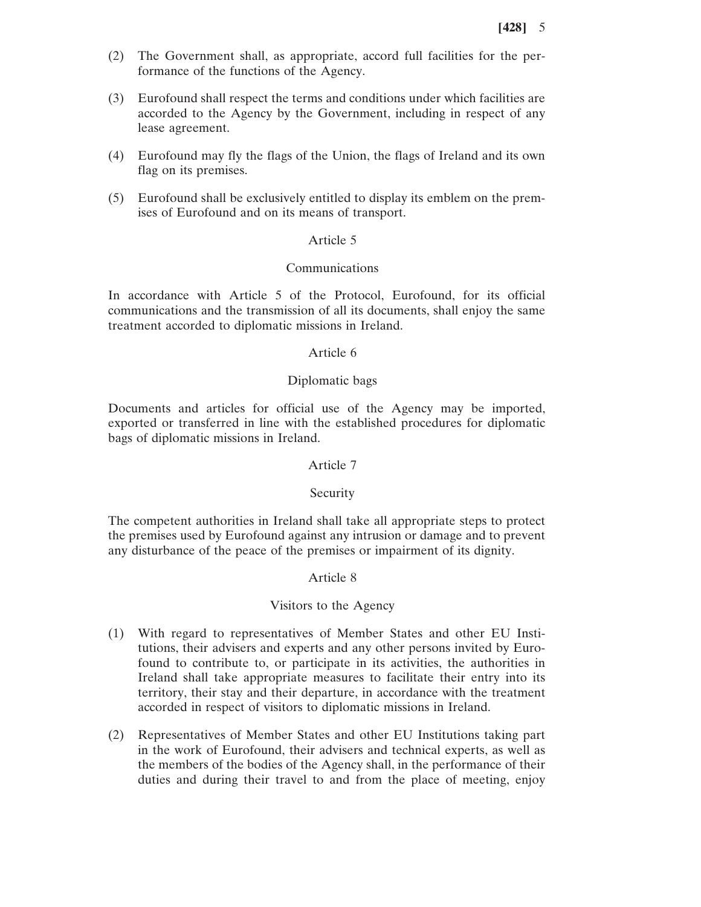- (2) The Government shall, as appropriate, accord full facilities for the performance of the functions of the Agency.
- (3) Eurofound shall respect the terms and conditions under which facilities are accorded to the Agency by the Government, including in respect of any lease agreement.
- (4) Eurofound may fly the flags of the Union, the flags of Ireland and its own flag on its premises.
- (5) Eurofound shall be exclusively entitled to display its emblem on the premises of Eurofound and on its means of transport.

#### Article 5

### Communications

In accordance with Article 5 of the Protocol, Eurofound, for its official communications and the transmission of all its documents, shall enjoy the same treatment accorded to diplomatic missions in Ireland.

#### Article 6

### Diplomatic bags

Documents and articles for official use of the Agency may be imported, exported or transferred in line with the established procedures for diplomatic bags of diplomatic missions in Ireland.

### Article 7

#### Security

The competent authorities in Ireland shall take all appropriate steps to protect the premises used by Eurofound against any intrusion or damage and to prevent any disturbance of the peace of the premises or impairment of its dignity.

#### Article 8

#### Visitors to the Agency

- (1) With regard to representatives of Member States and other EU Institutions, their advisers and experts and any other persons invited by Eurofound to contribute to, or participate in its activities, the authorities in Ireland shall take appropriate measures to facilitate their entry into its territory, their stay and their departure, in accordance with the treatment accorded in respect of visitors to diplomatic missions in Ireland.
- (2) Representatives of Member States and other EU Institutions taking part in the work of Eurofound, their advisers and technical experts, as well as the members of the bodies of the Agency shall, in the performance of their duties and during their travel to and from the place of meeting, enjoy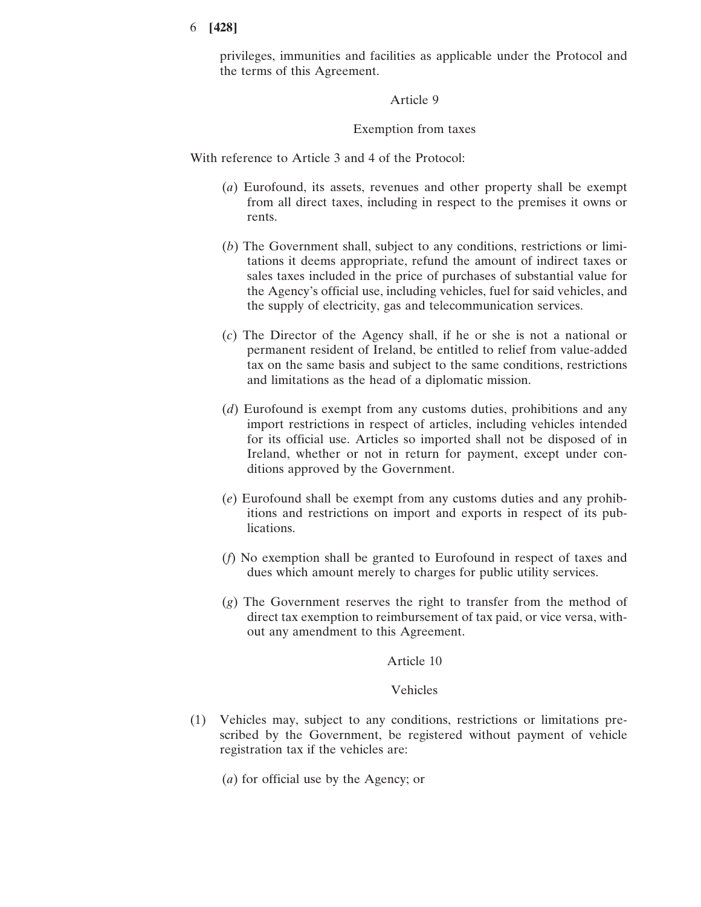privileges, immunities and facilities as applicable under the Protocol and the terms of this Agreement.

Article 9

Exemption from taxes

With reference to Article 3 and 4 of the Protocol:

- (*a*) Eurofound, its assets, revenues and other property shall be exempt from all direct taxes, including in respect to the premises it owns or rents.
- (*b*) The Government shall, subject to any conditions, restrictions or limitations it deems appropriate, refund the amount of indirect taxes or sales taxes included in the price of purchases of substantial value for the Agency's official use, including vehicles, fuel for said vehicles, and the supply of electricity, gas and telecommunication services.
- (*c*) The Director of the Agency shall, if he or she is not a national or permanent resident of Ireland, be entitled to relief from value-added tax on the same basis and subject to the same conditions, restrictions and limitations as the head of a diplomatic mission.
- (*d*) Eurofound is exempt from any customs duties, prohibitions and any import restrictions in respect of articles, including vehicles intended for its official use. Articles so imported shall not be disposed of in Ireland, whether or not in return for payment, except under conditions approved by the Government.
- (*e*) Eurofound shall be exempt from any customs duties and any prohibitions and restrictions on import and exports in respect of its publications.
- (*f*) No exemption shall be granted to Eurofound in respect of taxes and dues which amount merely to charges for public utility services.
- (*g*) The Government reserves the right to transfer from the method of direct tax exemption to reimbursement of tax paid, or vice versa, without any amendment to this Agreement.

Article 10

Vehicles

- (1) Vehicles may, subject to any conditions, restrictions or limitations prescribed by the Government, be registered without payment of vehicle registration tax if the vehicles are:
	- (*a*) for official use by the Agency; or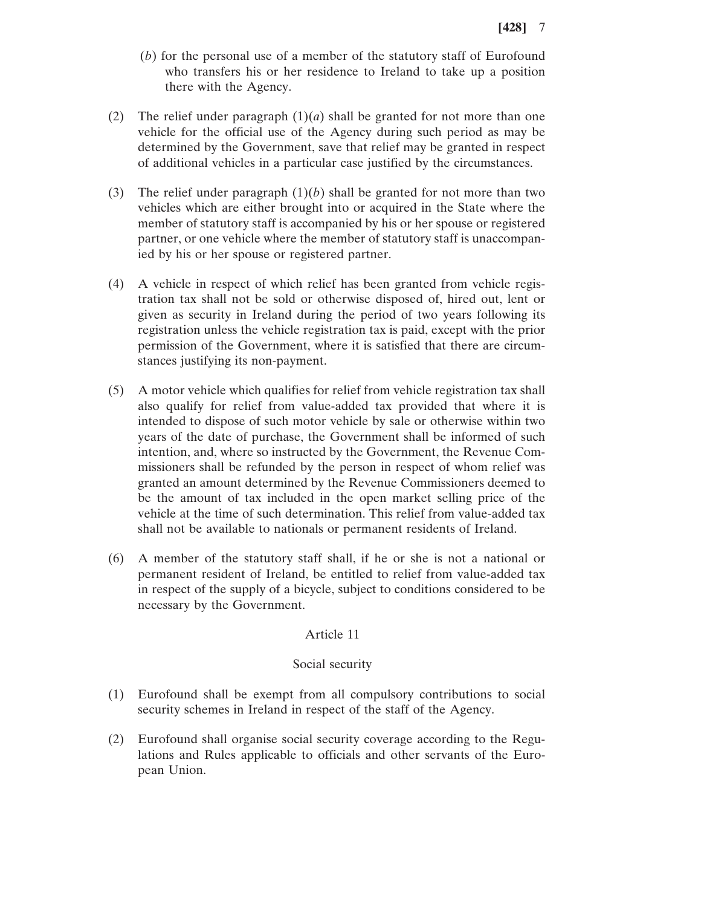- (*b*) for the personal use of a member of the statutory staff of Eurofound who transfers his or her residence to Ireland to take up a position there with the Agency.
- (2) The relief under paragraph  $(1)(a)$  shall be granted for not more than one vehicle for the official use of the Agency during such period as may be determined by the Government, save that relief may be granted in respect of additional vehicles in a particular case justified by the circumstances.
- (3) The relief under paragraph  $(1)(b)$  shall be granted for not more than two vehicles which are either brought into or acquired in the State where the member of statutory staff is accompanied by his or her spouse or registered partner, or one vehicle where the member of statutory staff is unaccompanied by his or her spouse or registered partner.
- (4) A vehicle in respect of which relief has been granted from vehicle registration tax shall not be sold or otherwise disposed of, hired out, lent or given as security in Ireland during the period of two years following its registration unless the vehicle registration tax is paid, except with the prior permission of the Government, where it is satisfied that there are circumstances justifying its non-payment.
- (5) A motor vehicle which qualifies for relief from vehicle registration tax shall also qualify for relief from value-added tax provided that where it is intended to dispose of such motor vehicle by sale or otherwise within two years of the date of purchase, the Government shall be informed of such intention, and, where so instructed by the Government, the Revenue Commissioners shall be refunded by the person in respect of whom relief was granted an amount determined by the Revenue Commissioners deemed to be the amount of tax included in the open market selling price of the vehicle at the time of such determination. This relief from value-added tax shall not be available to nationals or permanent residents of Ireland.
- (6) A member of the statutory staff shall, if he or she is not a national or permanent resident of Ireland, be entitled to relief from value-added tax in respect of the supply of a bicycle, subject to conditions considered to be necessary by the Government.

#### Article 11

# Social security

- (1) Eurofound shall be exempt from all compulsory contributions to social security schemes in Ireland in respect of the staff of the Agency.
- (2) Eurofound shall organise social security coverage according to the Regulations and Rules applicable to officials and other servants of the European Union.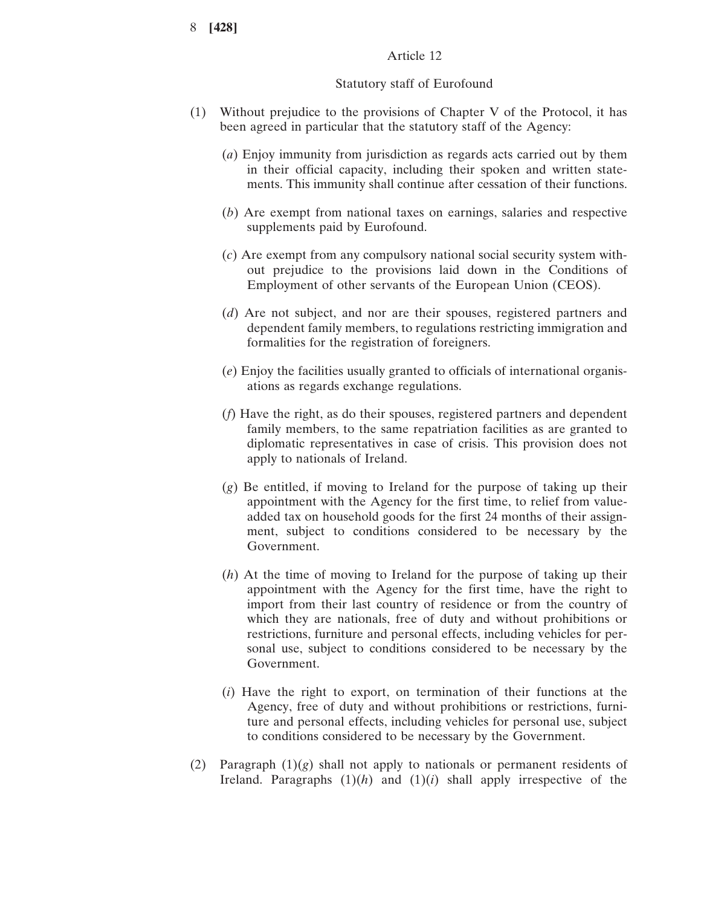# Article 12

### Statutory staff of Eurofound

- (1) Without prejudice to the provisions of Chapter V of the Protocol, it has been agreed in particular that the statutory staff of the Agency:
	- (*a*) Enjoy immunity from jurisdiction as regards acts carried out by them in their official capacity, including their spoken and written statements. This immunity shall continue after cessation of their functions.
	- (*b*) Are exempt from national taxes on earnings, salaries and respective supplements paid by Eurofound.
	- (*c*) Are exempt from any compulsory national social security system without prejudice to the provisions laid down in the Conditions of Employment of other servants of the European Union (CEOS).
	- (*d*) Are not subject, and nor are their spouses, registered partners and dependent family members, to regulations restricting immigration and formalities for the registration of foreigners.
	- (*e*) Enjoy the facilities usually granted to officials of international organisations as regards exchange regulations.
	- (*f*) Have the right, as do their spouses, registered partners and dependent family members, to the same repatriation facilities as are granted to diplomatic representatives in case of crisis. This provision does not apply to nationals of Ireland.
	- (*g*) Be entitled, if moving to Ireland for the purpose of taking up their appointment with the Agency for the first time, to relief from valueadded tax on household goods for the first 24 months of their assignment, subject to conditions considered to be necessary by the Government.
	- (*h*) At the time of moving to Ireland for the purpose of taking up their appointment with the Agency for the first time, have the right to import from their last country of residence or from the country of which they are nationals, free of duty and without prohibitions or restrictions, furniture and personal effects, including vehicles for personal use, subject to conditions considered to be necessary by the Government.
	- (*i*) Have the right to export, on termination of their functions at the Agency, free of duty and without prohibitions or restrictions, furniture and personal effects, including vehicles for personal use, subject to conditions considered to be necessary by the Government.
- (2) Paragraph (1)(*g*) shall not apply to nationals or permanent residents of Ireland. Paragraphs  $(1)(h)$  and  $(1)(i)$  shall apply irrespective of the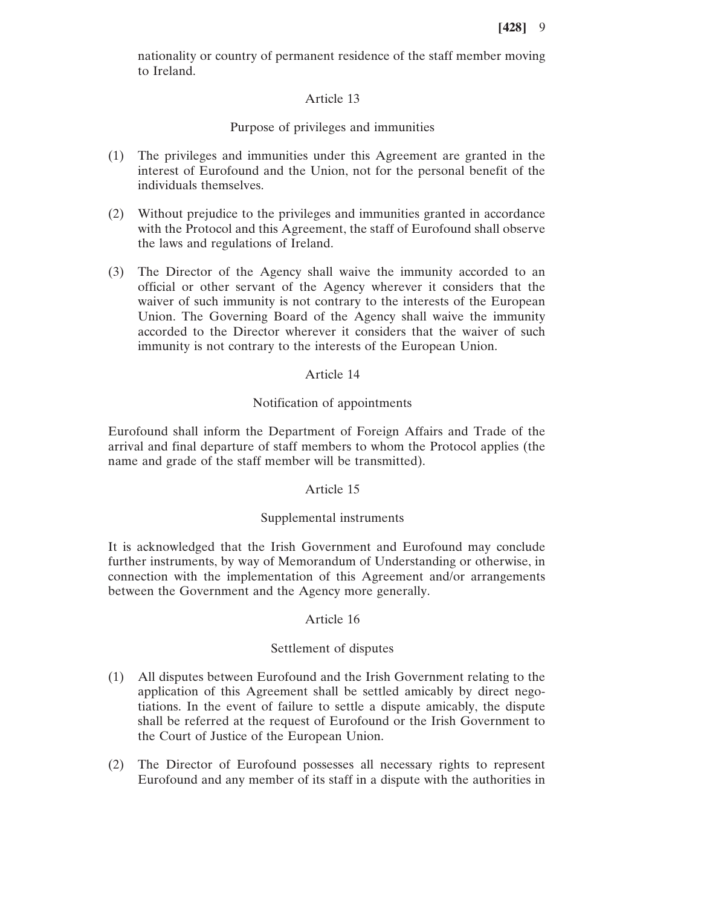nationality or country of permanent residence of the staff member moving to Ireland.

# Article 13

# Purpose of privileges and immunities

- (1) The privileges and immunities under this Agreement are granted in the interest of Eurofound and the Union, not for the personal benefit of the individuals themselves.
- (2) Without prejudice to the privileges and immunities granted in accordance with the Protocol and this Agreement, the staff of Eurofound shall observe the laws and regulations of Ireland.
- (3) The Director of the Agency shall waive the immunity accorded to an official or other servant of the Agency wherever it considers that the waiver of such immunity is not contrary to the interests of the European Union. The Governing Board of the Agency shall waive the immunity accorded to the Director wherever it considers that the waiver of such immunity is not contrary to the interests of the European Union.

### Article 14

### Notification of appointments

Eurofound shall inform the Department of Foreign Affairs and Trade of the arrival and final departure of staff members to whom the Protocol applies (the name and grade of the staff member will be transmitted).

#### Article 15

# Supplemental instruments

It is acknowledged that the Irish Government and Eurofound may conclude further instruments, by way of Memorandum of Understanding or otherwise, in connection with the implementation of this Agreement and/or arrangements between the Government and the Agency more generally.

#### Article 16

# Settlement of disputes

- (1) All disputes between Eurofound and the Irish Government relating to the application of this Agreement shall be settled amicably by direct negotiations. In the event of failure to settle a dispute amicably, the dispute shall be referred at the request of Eurofound or the Irish Government to the Court of Justice of the European Union.
- (2) The Director of Eurofound possesses all necessary rights to represent Eurofound and any member of its staff in a dispute with the authorities in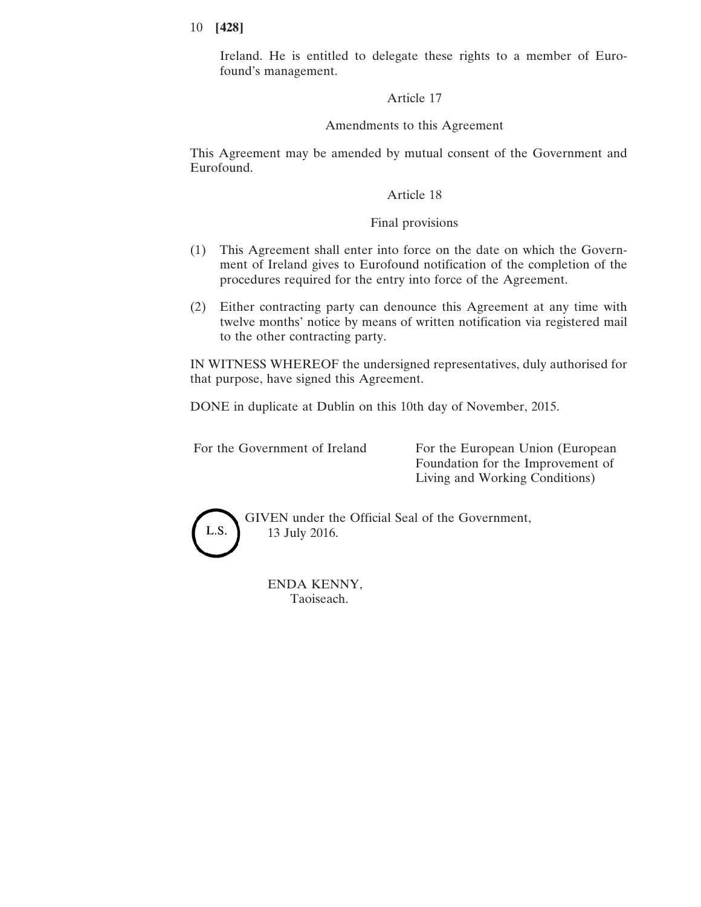Ireland. He is entitled to delegate these rights to a member of Eurofound's management.

Article 17

# Amendments to this Agreement

This Agreement may be amended by mutual consent of the Government and Eurofound.

# Article 18

# Final provisions

- (1) This Agreement shall enter into force on the date on which the Government of Ireland gives to Eurofound notification of the completion of the procedures required for the entry into force of the Agreement.
- (2) Either contracting party can denounce this Agreement at any time with twelve months' notice by means of written notification via registered mail to the other contracting party.

IN WITNESS WHEREOF the undersigned representatives, duly authorised for that purpose, have signed this Agreement.

DONE in duplicate at Dublin on this 10th day of November, 2015.

For the Government of Ireland For the European Union (European Foundation for the Improvement of Living and Working Conditions)



GIVEN under the Official Seal of the Government, 13 July 2016.

ENDA KENNY, Taoiseach.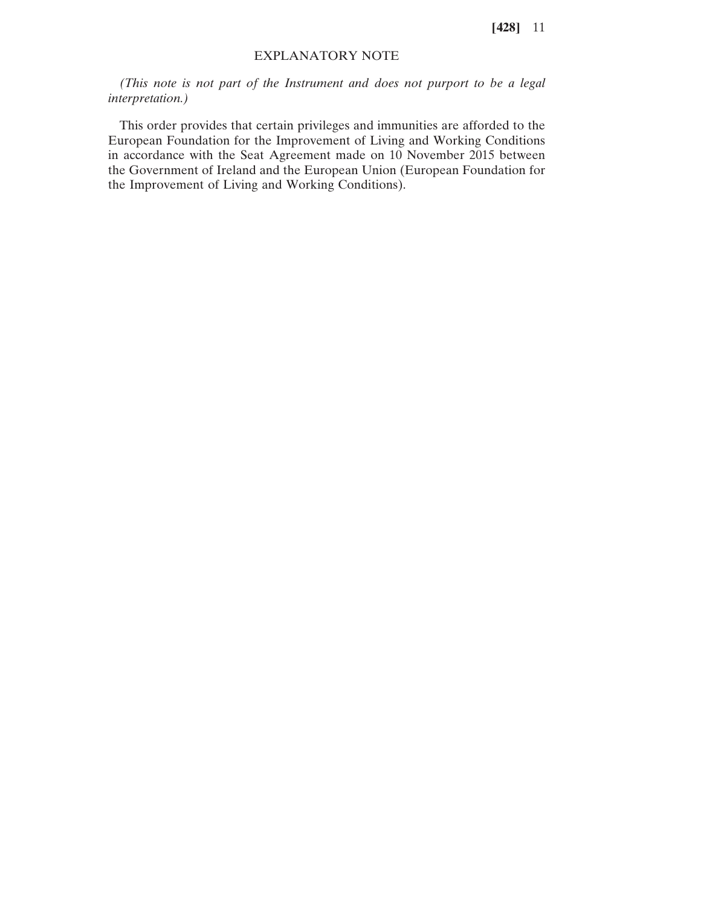# EXPLANATORY NOTE

*(This note is not part of the Instrument and does not purport to be a legal interpretation.)*

This order provides that certain privileges and immunities are afforded to the European Foundation for the Improvement of Living and Working Conditions in accordance with the Seat Agreement made on 10 November 2015 between the Government of Ireland and the European Union (European Foundation for the Improvement of Living and Working Conditions).